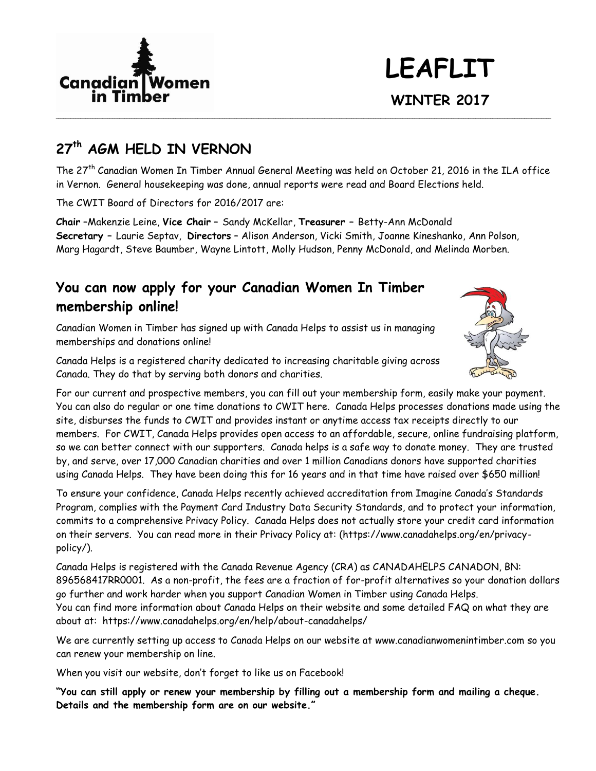

# **LEAFLIT WINTER 2017**

# **27th AGM HELD IN VERNON**

The 27th Canadian Women In Timber Annual General Meeting was held on October 21, 2016 in the ILA office in Vernon. General housekeeping was done, annual reports were read and Board Elections held.

**\_\_\_\_\_\_\_\_\_\_\_\_\_\_\_\_\_\_\_\_\_\_\_\_\_\_\_\_\_\_\_\_\_\_\_\_\_\_\_\_\_\_\_\_\_\_\_\_\_\_\_\_\_\_\_\_\_\_\_\_\_\_\_\_\_\_\_\_\_\_\_\_\_\_\_\_\_\_\_\_\_\_\_\_\_\_\_\_\_\_\_\_\_\_\_\_\_\_\_\_\_\_\_\_\_\_\_\_\_\_\_\_\_\_\_\_\_\_\_\_\_\_\_\_\_\_\_\_\_\_\_\_\_\_\_\_\_\_\_\_\_\_\_\_\_\_\_\_\_\_\_\_\_\_\_\_\_\_\_\_\_\_\_\_\_\_\_\_\_\_\_\_\_\_\_\_\_\_\_\_\_\_\_\_\_\_\_\_\_\_\_\_\_\_\_\_\_\_\_\_\_\_\_**

The CWIT Board of Directors for 2016/2017 are:

**Chair** –Makenzie Leine, **Vice Chair –** Sandy McKellar, **Treasurer –** Betty-Ann McDonald **Secretary –** Laurie Septav, **Directors** – Alison Anderson, Vicki Smith, Joanne Kineshanko, Ann Polson, Marg Hagardt, Steve Baumber, Wayne Lintott, Molly Hudson, Penny McDonald, and Melinda Morben.

## **You can now apply for your Canadian Women In Timber membership online!**

Canadian Women in Timber has signed up with Canada Helps to assist us in managing memberships and donations online!

Canada Helps is a registered charity dedicated to increasing charitable giving across Canada. They do that by serving both donors and charities.



For our current and prospective members, you can fill out your membership form, easily make your payment. You can also do regular or one time donations to CWIT here. Canada Helps processes donations made using the site, disburses the funds to CWIT and provides instant or anytime access tax receipts directly to our members. For CWIT, Canada Helps provides open access to an affordable, secure, online fundraising platform, so we can better connect with our supporters. Canada helps is a safe way to donate money. They are trusted by, and serve, over 17,000 Canadian charities and over 1 million Canadians donors have supported charities using Canada Helps. They have been doing this for 16 years and in that time have raised over \$650 million!

To ensure your confidence, Canada Helps recently achieved accreditation from Imagine Canada's Standards Program, complies with the Payment Card Industry Data Security Standards, and to protect your information, commits to a comprehensive Privacy Policy. Canada Helps does not actually store your credit card information on their servers. You can read more in their Privacy Policy at: (https://www.canadahelps.org/en/privacypolicy/).

Canada Helps is registered with the Canada Revenue Agency (CRA) as CANADAHELPS CANADON, BN: 896568417RR0001. As a non-profit, the fees are a fraction of for-profit alternatives so your donation dollars go further and work harder when you support Canadian Women in Timber using Canada Helps. You can find more information about Canada Helps on their website and some detailed FAQ on what they are about at: https://www.canadahelps.org/en/help/about-canadahelps/

We are currently setting up access to Canada Helps on our website at [www.canadianwomenintimber.com](http://www.canadianwomenintimber.com/) so you can renew your membership on line.

When you visit our website, don't forget to like us on Facebook!

**"You can still apply or renew your membership by filling out a membership form and mailing a cheque. Details and the membership form are on our website."**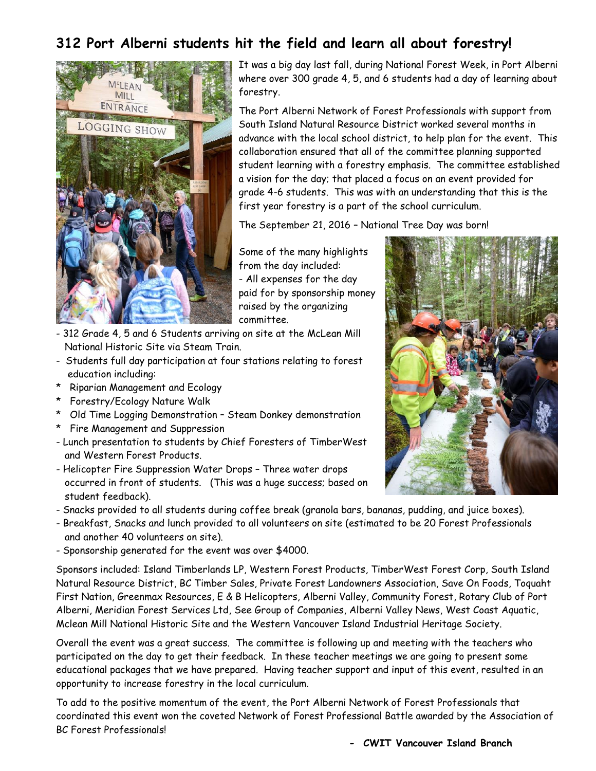# **312 Port Alberni students hit the field and learn all about forestry!**



It was a big day last fall, during National Forest Week, in Port Alberni where over 300 grade 4, 5, and 6 students had a day of learning about forestry.

The Port Alberni Network of Forest Professionals with support from South Island Natural Resource District worked several months in advance with the local school district, to help plan for the event. This collaboration ensured that all of the committee planning supported student learning with a forestry emphasis. The committee established a vision for the day; that placed a focus on an event provided for grade 4-6 students. This was with an understanding that this is the first year forestry is a part of the school curriculum.

The September 21, 2016 – National Tree Day was born!

Some of the many highlights from the day included: - All expenses for the day paid for by sponsorship money raised by the organizing committee.

- 312 Grade 4, 5 and 6 Students arriving on site at the McLean Mill National Historic Site via Steam Train.
- Students full day participation at four stations relating to forest education including:
- \* Riparian Management and Ecology
- \* Forestry/Ecology Nature Walk
- \* Old Time Logging Demonstration Steam Donkey demonstration
- \* Fire Management and Suppression
- Lunch presentation to students by Chief Foresters of TimberWest and Western Forest Products.
- Helicopter Fire Suppression Water Drops Three water drops occurred in front of students. (This was a huge success; based on student feedback).
- Snacks provided to all students during coffee break (granola bars, bananas, pudding, and juice boxes).
- Breakfast, Snacks and lunch provided to all volunteers on site (estimated to be 20 Forest Professionals and another 40 volunteers on site).
- Sponsorship generated for the event was over \$4000.

Sponsors included: Island Timberlands LP, Western Forest Products, TimberWest Forest Corp, South Island Natural Resource District, BC Timber Sales, Private Forest Landowners Association, Save On Foods, Toquaht First Nation, Greenmax Resources, E & B Helicopters, Alberni Valley, Community Forest, Rotary Club of Port Alberni, Meridian Forest Services Ltd, See Group of Companies, Alberni Valley News, West Coast Aquatic, Mclean Mill National Historic Site and the Western Vancouver Island Industrial Heritage Society.

Overall the event was a great success. The committee is following up and meeting with the teachers who participated on the day to get their feedback. In these teacher meetings we are going to present some educational packages that we have prepared. Having teacher support and input of this event, resulted in an opportunity to increase forestry in the local curriculum.

To add to the positive momentum of the event, the Port Alberni Network of Forest Professionals that coordinated this event won the coveted Network of Forest Professional Battle awarded by the Association of BC Forest Professionals!

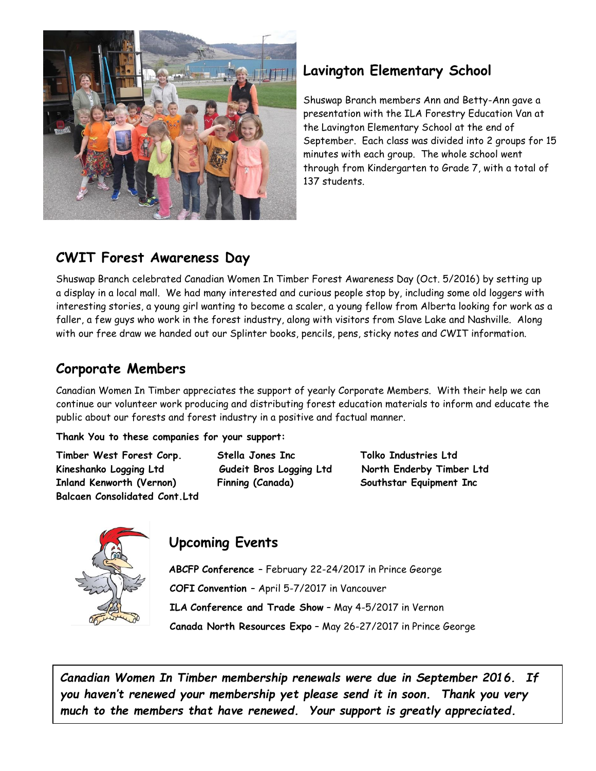

## **Lavington Elementary School**

Shuswap Branch members Ann and Betty-Ann gave a presentation with the ILA Forestry Education Van at the Lavington Elementary School at the end of September. Each class was divided into 2 groups for 15 minutes with each group. The whole school went through from Kindergarten to Grade 7, with a total of 137 students.

## **CWIT Forest Awareness Day**

Shuswap Branch celebrated Canadian Women In Timber Forest Awareness Day (Oct. 5/2016) by setting up a display in a local mall. We had many interested and curious people stop by, including some old loggers with interesting stories, a young girl wanting to become a scaler, a young fellow from Alberta looking for work as a faller, a few guys who work in the forest industry, along with visitors from Slave Lake and Nashville. Along with our free draw we handed out our Splinter books, pencils, pens, sticky notes and CWIT information.

## **Corporate Members**

Canadian Women In Timber appreciates the support of yearly Corporate Members. With their help we can continue our volunteer work producing and distributing forest education materials to inform and educate the public about our forests and forest industry in a positive and factual manner.

## **Thank You to these companies for your support:**

**Timber West Forest Corp. Stella Jones Inc Tolko Industries Ltd Kineshanko Logging Ltd Gudeit Bros Logging Ltd North Enderby Timber Ltd Inland Kenworth (Vernon) Finning (Canada) Southstar Equipment Inc Balcaen Consolidated Cont.Ltd**



## **Upcoming Events**

 **ABCFP Conference** – February 22-24/2017 in Prince George  **COFI Convention** – April 5-7/2017 in Vancouver  **ILA Conference and Trade Show** – May 4-5/2017 in Vernon  **Canada North Resources Expo** – May 26-27/2017 in Prince George

*Canadian Women In Timber membership renewals were due in September 2016. If you haven't renewed your membership yet please send it in soon. Thank you very much to the members that have renewed. Your support is greatly appreciated.*